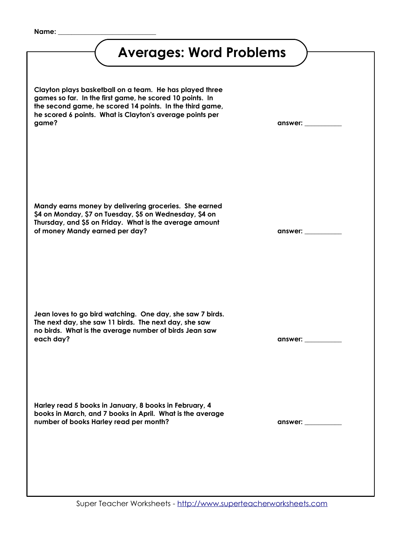**Name: \_\_\_\_\_\_\_\_\_\_\_\_\_\_\_\_\_\_\_\_\_\_\_\_\_\_\_\_\_** 

<span id="page-0-0"></span>